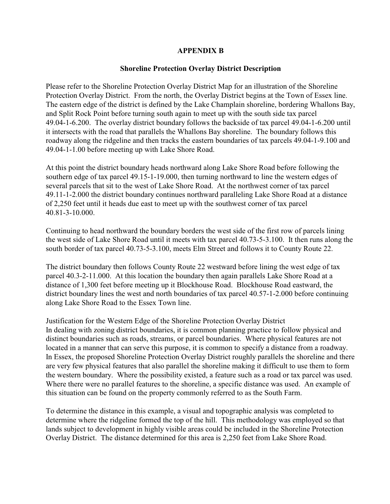## **APPENDIX B**

## **Shoreline Protection Overlay District Description**

Please refer to the Shoreline Protection Overlay District Map for an illustration of the Shoreline Protection Overlay District. From the north, the Overlay District begins at the Town of Essex line. The eastern edge of the district is defined by the Lake Champlain shoreline, bordering Whallons Bay, and Split Rock Point before turning south again to meet up with the south side tax parcel 49.04-1-6.200. The overlay district boundary follows the backside of tax parcel 49.04-1-6.200 until it intersects with the road that parallels the Whallons Bay shoreline. The boundary follows this roadway along the ridgeline and then tracks the eastern boundaries of tax parcels 49.04-1-9.100 and 49.04-1-1.00 before meeting up with Lake Shore Road.

At this point the district boundary heads northward along Lake Shore Road before following the southern edge of tax parcel 49.15-1-19.000, then turning northward to line the western edges of several parcels that sit to the west of Lake Shore Road. At the northwest corner of tax parcel 49.11-1-2.000 the district boundary continues northward paralleling Lake Shore Road at a distance of 2,250 feet until it heads due east to meet up with the southwest corner of tax parcel 40.81-3-10.000.

Continuing to head northward the boundary borders the west side of the first row of parcels lining the west side of Lake Shore Road until it meets with tax parcel 40.73-5-3.100. It then runs along the south border of tax parcel 40.73-5-3.100, meets Elm Street and follows it to County Route 22.

The district boundary then follows County Route 22 westward before lining the west edge of tax parcel 40.3-2-11.000. At this location the boundary then again parallels Lake Shore Road at a distance of 1,300 feet before meeting up it Blockhouse Road. Blockhouse Road eastward, the district boundary lines the west and north boundaries of tax parcel 40.57-1-2.000 before continuing along Lake Shore Road to the Essex Town line.

Justification for the Western Edge of the Shoreline Protection Overlay District In dealing with zoning district boundaries, it is common planning practice to follow physical and distinct boundaries such as roads, streams, or parcel boundaries. Where physical features are not located in a manner that can serve this purpose, it is common to specify a distance from a roadway. In Essex, the proposed Shoreline Protection Overlay District roughly parallels the shoreline and there are very few physical features that also parallel the shoreline making it difficult to use them to form the western boundary. Where the possibility existed, a feature such as a road or tax parcel was used. Where there were no parallel features to the shoreline, a specific distance was used. An example of this situation can be found on the property commonly referred to as the South Farm.

To determine the distance in this example, a visual and topographic analysis was completed to determine where the ridgeline formed the top of the hill. This methodology was employed so that lands subject to development in highly visible areas could be included in the Shoreline Protection Overlay District. The distance determined for this area is 2,250 feet from Lake Shore Road.